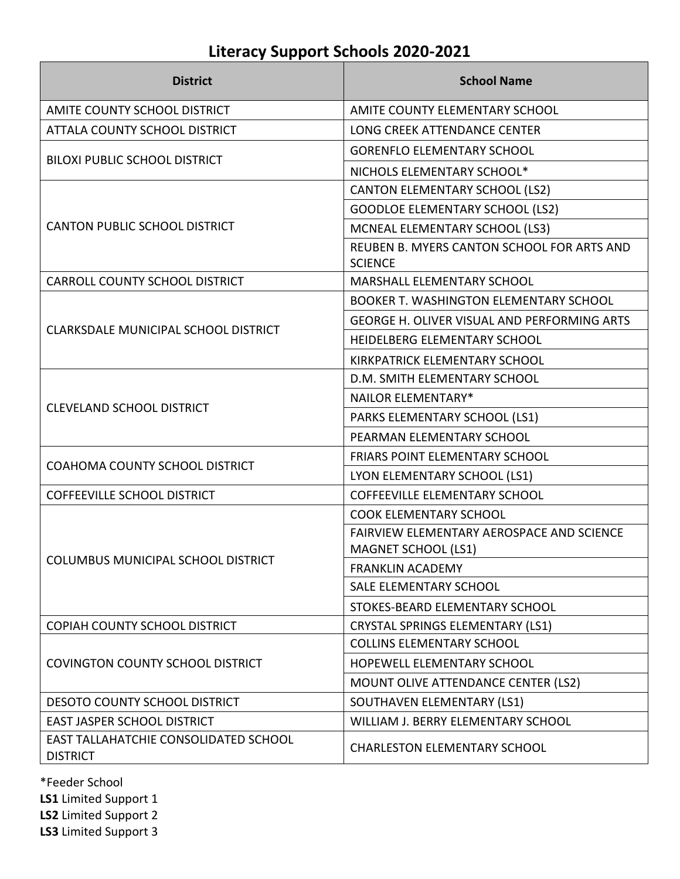| <b>District</b>                                          | <b>School Name</b>                                           |
|----------------------------------------------------------|--------------------------------------------------------------|
| AMITE COUNTY SCHOOL DISTRICT                             | AMITE COUNTY ELEMENTARY SCHOOL                               |
| ATTALA COUNTY SCHOOL DISTRICT                            | LONG CREEK ATTENDANCE CENTER                                 |
|                                                          | <b>GORENFLO ELEMENTARY SCHOOL</b>                            |
| <b>BILOXI PUBLIC SCHOOL DISTRICT</b>                     | NICHOLS ELEMENTARY SCHOOL*                                   |
|                                                          | <b>CANTON ELEMENTARY SCHOOL (LS2)</b>                        |
|                                                          | <b>GOODLOE ELEMENTARY SCHOOL (LS2)</b>                       |
| <b>CANTON PUBLIC SCHOOL DISTRICT</b>                     | MCNEAL ELEMENTARY SCHOOL (LS3)                               |
|                                                          | REUBEN B. MYERS CANTON SCHOOL FOR ARTS AND<br><b>SCIENCE</b> |
| <b>CARROLL COUNTY SCHOOL DISTRICT</b>                    | <b>MARSHALL ELEMENTARY SCHOOL</b>                            |
|                                                          | <b>BOOKER T. WASHINGTON ELEMENTARY SCHOOL</b>                |
| CLARKSDALE MUNICIPAL SCHOOL DISTRICT                     | GEORGE H. OLIVER VISUAL AND PERFORMING ARTS                  |
|                                                          | HEIDELBERG ELEMENTARY SCHOOL                                 |
|                                                          | KIRKPATRICK ELEMENTARY SCHOOL                                |
|                                                          | D.M. SMITH ELEMENTARY SCHOOL                                 |
| <b>CLEVELAND SCHOOL DISTRICT</b>                         | <b>NAILOR ELEMENTARY*</b>                                    |
|                                                          | PARKS ELEMENTARY SCHOOL (LS1)                                |
|                                                          | PEARMAN ELEMENTARY SCHOOL                                    |
| COAHOMA COUNTY SCHOOL DISTRICT                           | <b>FRIARS POINT ELEMENTARY SCHOOL</b>                        |
|                                                          | LYON ELEMENTARY SCHOOL (LS1)                                 |
| <b>COFFEEVILLE SCHOOL DISTRICT</b>                       | <b>COFFEEVILLE ELEMENTARY SCHOOL</b>                         |
|                                                          | <b>COOK ELEMENTARY SCHOOL</b>                                |
|                                                          | FAIRVIEW ELEMENTARY AEROSPACE AND SCIENCE                    |
| COLUMBUS MUNICIPAL SCHOOL DISTRICT                       | <b>MAGNET SCHOOL (LS1)</b>                                   |
|                                                          | <b>FRANKLIN ACADEMY</b>                                      |
|                                                          | SALE ELEMENTARY SCHOOL                                       |
|                                                          | STOKES-BEARD ELEMENTARY SCHOOL                               |
| COPIAH COUNTY SCHOOL DISTRICT                            | <b>CRYSTAL SPRINGS ELEMENTARY (LS1)</b>                      |
|                                                          | <b>COLLINS ELEMENTARY SCHOOL</b>                             |
| <b>COVINGTON COUNTY SCHOOL DISTRICT</b>                  | HOPEWELL ELEMENTARY SCHOOL                                   |
|                                                          | MOUNT OLIVE ATTENDANCE CENTER (LS2)                          |
| <b>DESOTO COUNTY SCHOOL DISTRICT</b>                     | SOUTHAVEN ELEMENTARY (LS1)                                   |
| EAST JASPER SCHOOL DISTRICT                              | WILLIAM J. BERRY ELEMENTARY SCHOOL                           |
| EAST TALLAHATCHIE CONSOLIDATED SCHOOL<br><b>DISTRICT</b> | <b>CHARLESTON ELEMENTARY SCHOOL</b>                          |

\*Feeder School

**LS1** Limited Support 1

**LS2** Limited Support 2

**LS3** Limited Support 3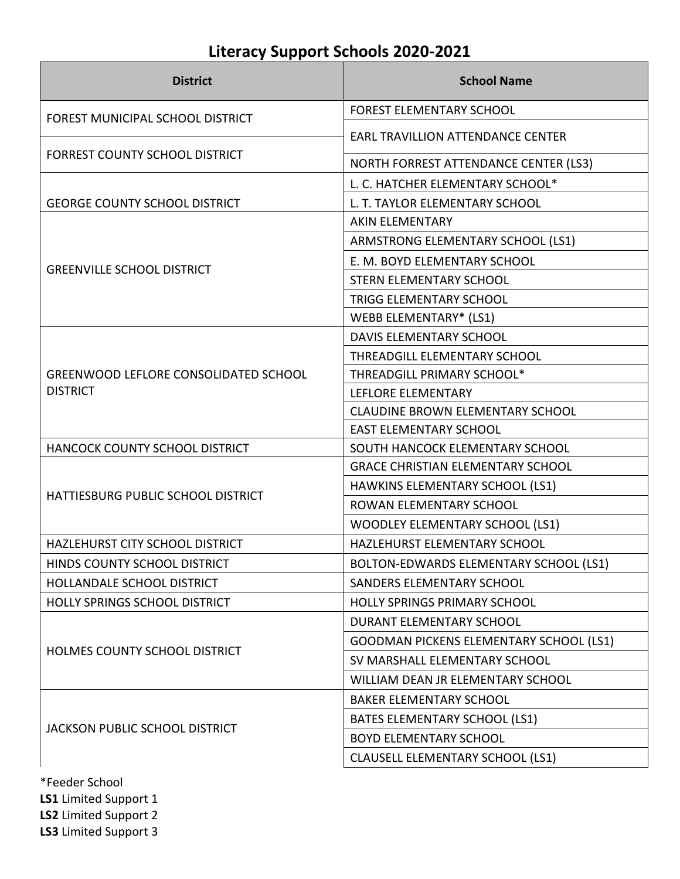| <b>District</b>                              | <b>School Name</b>                       |
|----------------------------------------------|------------------------------------------|
| FOREST MUNICIPAL SCHOOL DISTRICT             | <b>FOREST ELEMENTARY SCHOOL</b>          |
|                                              | <b>EARL TRAVILLION ATTENDANCE CENTER</b> |
| FORREST COUNTY SCHOOL DISTRICT               | NORTH FORREST ATTENDANCE CENTER (LS3)    |
|                                              | L. C. HATCHER ELEMENTARY SCHOOL*         |
| <b>GEORGE COUNTY SCHOOL DISTRICT</b>         | L. T. TAYLOR ELEMENTARY SCHOOL           |
|                                              | <b>AKIN ELEMENTARY</b>                   |
|                                              | ARMSTRONG ELEMENTARY SCHOOL (LS1)        |
|                                              | E. M. BOYD ELEMENTARY SCHOOL             |
| <b>GREENVILLE SCHOOL DISTRICT</b>            | STERN ELEMENTARY SCHOOL                  |
|                                              | TRIGG ELEMENTARY SCHOOL                  |
|                                              | <b>WEBB ELEMENTARY* (LS1)</b>            |
|                                              | <b>DAVIS ELEMENTARY SCHOOL</b>           |
|                                              | THREADGILL ELEMENTARY SCHOOL             |
| <b>GREENWOOD LEFLORE CONSOLIDATED SCHOOL</b> | THREADGILL PRIMARY SCHOOL*               |
| <b>DISTRICT</b>                              | LEFLORE ELEMENTARY                       |
|                                              | <b>CLAUDINE BROWN ELEMENTARY SCHOOL</b>  |
|                                              | <b>EAST ELEMENTARY SCHOOL</b>            |
| HANCOCK COUNTY SCHOOL DISTRICT               | SOUTH HANCOCK ELEMENTARY SCHOOL          |
|                                              | <b>GRACE CHRISTIAN ELEMENTARY SCHOOL</b> |
| HATTIESBURG PUBLIC SCHOOL DISTRICT           | HAWKINS ELEMENTARY SCHOOL (LS1)          |
|                                              | ROWAN ELEMENTARY SCHOOL                  |
|                                              | <b>WOODLEY ELEMENTARY SCHOOL (LS1)</b>   |
| HAZLEHURST CITY SCHOOL DISTRICT              | HAZLEHURST ELEMENTARY SCHOOL             |
| HINDS COUNTY SCHOOL DISTRICT                 | BOLTON-EDWARDS ELEMENTARY SCHOOL (LS1)   |
| HOLLANDALE SCHOOL DISTRICT                   | <b>SANDERS ELEMENTARY SCHOOL</b>         |
| HOLLY SPRINGS SCHOOL DISTRICT                | <b>HOLLY SPRINGS PRIMARY SCHOOL</b>      |
|                                              | DURANT ELEMENTARY SCHOOL                 |
|                                              | GOODMAN PICKENS ELEMENTARY SCHOOL (LS1)  |
| HOLMES COUNTY SCHOOL DISTRICT                | SV MARSHALL ELEMENTARY SCHOOL            |
|                                              | WILLIAM DEAN JR ELEMENTARY SCHOOL        |
| JACKSON PUBLIC SCHOOL DISTRICT               | <b>BAKER ELEMENTARY SCHOOL</b>           |
|                                              | BATES ELEMENTARY SCHOOL (LS1)            |
|                                              | <b>BOYD ELEMENTARY SCHOOL</b>            |
|                                              | <b>CLAUSELL ELEMENTARY SCHOOL (LS1)</b>  |
|                                              |                                          |

\*Feeder School **LS1** Limited Support 1 **LS2** Limited Support 2 **LS3** Limited Support 3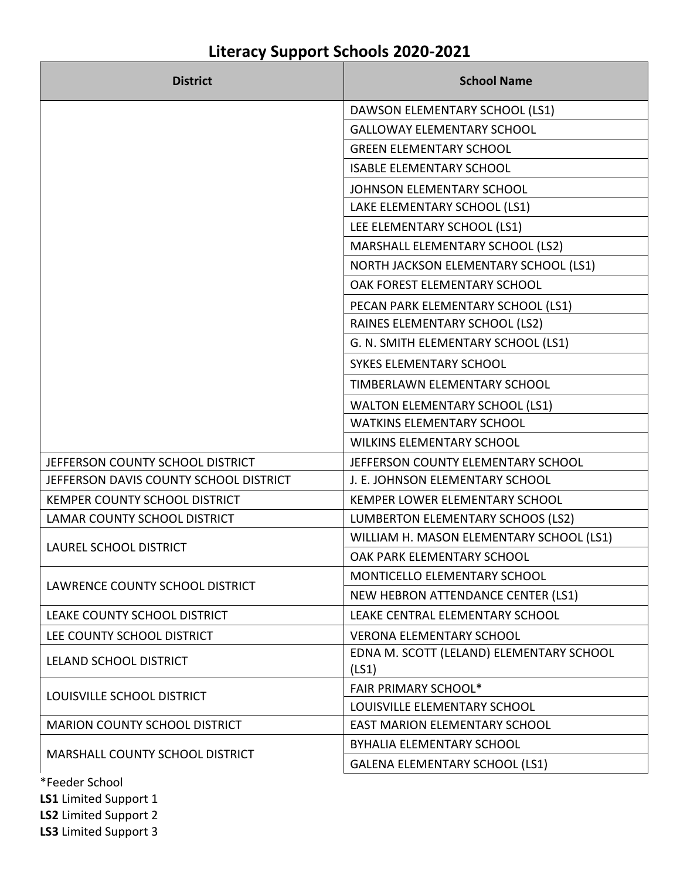### **District School Name** DAWSON ELEMENTARY SCHOOL (LS1) GALLOWAY ELEMENTARY SCHOOL GREEN ELEMENTARY SCHOOL ISABLE ELEMENTARY SCHOOL JOHNSON ELEMENTARY SCHOOL LAKE ELEMENTARY SCHOOL (LS1) LEE ELEMENTARY SCHOOL (LS1) MARSHALL ELEMENTARY SCHOOL (LS2) NORTH JACKSON ELEMENTARY SCHOOL (LS1) OAK FOREST ELEMENTARY SCHOOL PECAN PARK ELEMENTARY SCHOOL (LS1) RAINES ELEMENTARY SCHOOL (LS2) G. N. SMITH ELEMENTARY SCHOOL (LS1) SYKES ELEMENTARY SCHOOL TIMBERLAWN ELEMENTARY SCHOOL WALTON ELEMENTARY SCHOOL (LS1) WATKINS ELEMENTARY SCHOOL WILKINS ELEMENTARY SCHOOL JEFFERSON COUNTY SCHOOL DISTRICT JEFFERSON COUNTY ELEMENTARY SCHOOL JEFFERSON DAVIS COUNTY SCHOOL DISTRICT J. E. JOHNSON ELEMENTARY SCHOOL KEMPER COUNTY SCHOOL DISTRICT KEMPER LOWER ELEMENTARY SCHOOL LAMAR COUNTY SCHOOL DISTRICT  $\vert$  LUMBERTON ELEMENTARY SCHOOS (LS2) LAUREL SCHOOL DISTRICT WILLIAM H. MASON ELEMENTARY SCHOOL (LS1) OAK PARK ELEMENTARY SCHOOL LAWRENCE COUNTY SCHOOL DISTRICT MONTICELLO ELEMENTARY SCHOOL NEW HEBRON ATTENDANCE CENTER (LS1) LEAKE COUNTY SCHOOL DISTRICT LEAKE CENTRAL ELEMENTARY SCHOOL LEE COUNTY SCHOOL DISTRICT VERONA ELEMENTARY SCHOOL LELAND SCHOOL DISTRICT **EDNA M. SCOTT** (LELAND) ELEMENTARY SCHOOL (LS1) LOUISVILLE SCHOOL DISTRICT FAIR PRIMARY SCHOOL\* LOUISVILLE ELEMENTARY SCHOOL MARION COUNTY SCHOOL DISTRICT FAST MARION ELEMENTARY SCHOOL MARSHALL COUNTY SCHOOL DISTRICT BYHALIA ELEMENTARY SCHOOL GALENA ELEMENTARY SCHOOL (LS1)

## **Literacy Support Schools 2020-2021**

\*Feeder School **LS1** Limited Support 1

**LS2** Limited Support 2

**LS3** Limited Support 3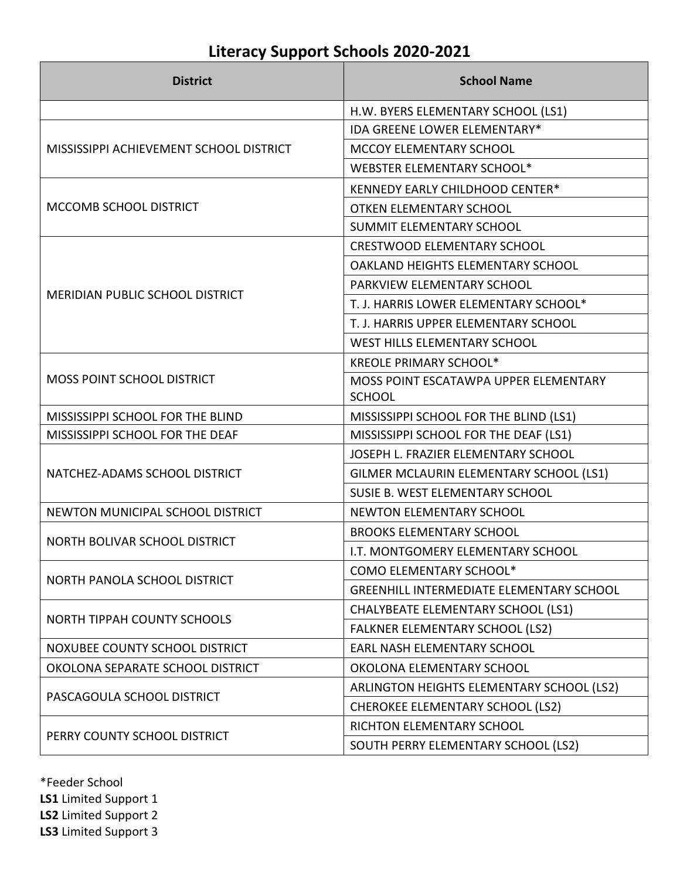| <b>District</b>                         | <b>School Name</b>                              |
|-----------------------------------------|-------------------------------------------------|
|                                         | H.W. BYERS ELEMENTARY SCHOOL (LS1)              |
|                                         | IDA GREENE LOWER ELEMENTARY*                    |
| MISSISSIPPI ACHIEVEMENT SCHOOL DISTRICT | MCCOY ELEMENTARY SCHOOL                         |
|                                         | WEBSTER ELEMENTARY SCHOOL*                      |
|                                         | KENNEDY EARLY CHILDHOOD CENTER*                 |
| MCCOMB SCHOOL DISTRICT                  | <b>OTKEN ELEMENTARY SCHOOL</b>                  |
|                                         | <b>SUMMIT ELEMENTARY SCHOOL</b>                 |
|                                         | <b>CRESTWOOD ELEMENTARY SCHOOL</b>              |
|                                         | OAKLAND HEIGHTS ELEMENTARY SCHOOL               |
| MERIDIAN PUBLIC SCHOOL DISTRICT         | PARKVIEW ELEMENTARY SCHOOL                      |
|                                         | T. J. HARRIS LOWER ELEMENTARY SCHOOL*           |
|                                         | T. J. HARRIS UPPER ELEMENTARY SCHOOL            |
|                                         | WEST HILLS ELEMENTARY SCHOOL                    |
|                                         | <b>KREOLE PRIMARY SCHOOL*</b>                   |
| MOSS POINT SCHOOL DISTRICT              | MOSS POINT ESCATAWPA UPPER ELEMENTARY           |
|                                         | <b>SCHOOL</b>                                   |
| MISSISSIPPI SCHOOL FOR THE BLIND        | MISSISSIPPI SCHOOL FOR THE BLIND (LS1)          |
| MISSISSIPPI SCHOOL FOR THE DEAF         | MISSISSIPPI SCHOOL FOR THE DEAF (LS1)           |
|                                         | JOSEPH L. FRAZIER ELEMENTARY SCHOOL             |
| NATCHEZ-ADAMS SCHOOL DISTRICT           | GILMER MCLAURIN ELEMENTARY SCHOOL (LS1)         |
|                                         | SUSIE B. WEST ELEMENTARY SCHOOL                 |
| NEWTON MUNICIPAL SCHOOL DISTRICT        | NEWTON ELEMENTARY SCHOOL                        |
| NORTH BOLIVAR SCHOOL DISTRICT           | <b>BROOKS ELEMENTARY SCHOOL</b>                 |
|                                         | I.T. MONTGOMERY ELEMENTARY SCHOOL               |
| NORTH PANOLA SCHOOL DISTRICT            | COMO ELEMENTARY SCHOOL*                         |
|                                         | <b>GREENHILL INTERMEDIATE ELEMENTARY SCHOOL</b> |
| <b>NORTH TIPPAH COUNTY SCHOOLS</b>      | <b>CHALYBEATE ELEMENTARY SCHOOL (LS1)</b>       |
|                                         | <b>FALKNER ELEMENTARY SCHOOL (LS2)</b>          |
| NOXUBEE COUNTY SCHOOL DISTRICT          | EARL NASH ELEMENTARY SCHOOL                     |
| OKOLONA SEPARATE SCHOOL DISTRICT        | OKOLONA ELEMENTARY SCHOOL                       |
| PASCAGOULA SCHOOL DISTRICT              | ARLINGTON HEIGHTS ELEMENTARY SCHOOL (LS2)       |
|                                         | <b>CHEROKEE ELEMENTARY SCHOOL (LS2)</b>         |
| PERRY COUNTY SCHOOL DISTRICT            | RICHTON ELEMENTARY SCHOOL                       |
|                                         | SOUTH PERRY ELEMENTARY SCHOOL (LS2)             |

\*Feeder School **LS1** Limited Support 1 **LS2** Limited Support 2 **LS3** Limited Support 3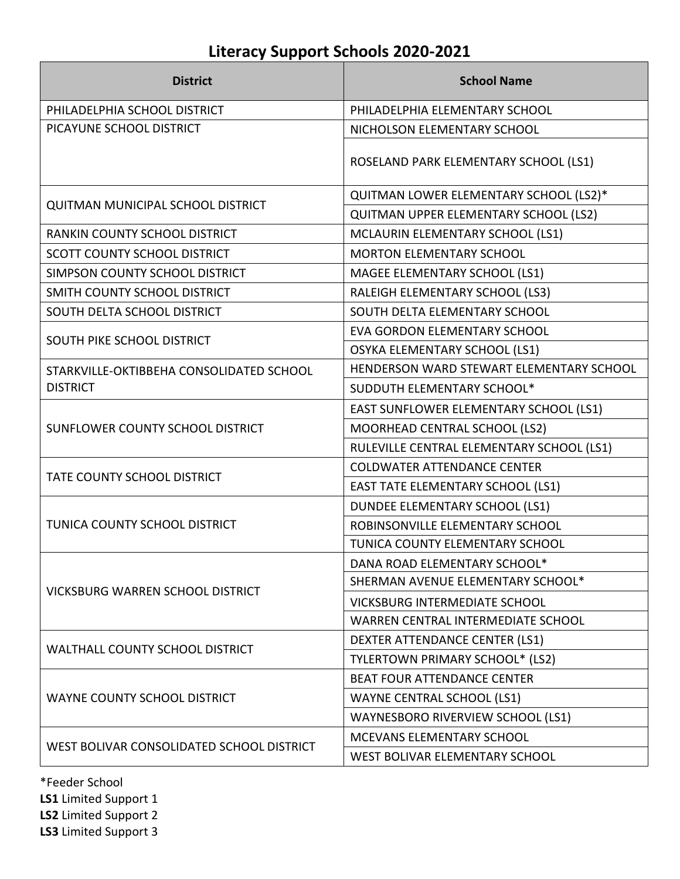| <b>District</b>                           | <b>School Name</b>                        |
|-------------------------------------------|-------------------------------------------|
| PHILADELPHIA SCHOOL DISTRICT              | PHILADELPHIA ELEMENTARY SCHOOL            |
| PICAYUNE SCHOOL DISTRICT                  | NICHOLSON ELEMENTARY SCHOOL               |
|                                           | ROSELAND PARK ELEMENTARY SCHOOL (LS1)     |
| <b>QUITMAN MUNICIPAL SCHOOL DISTRICT</b>  | QUITMAN LOWER ELEMENTARY SCHOOL (LS2)*    |
|                                           | QUITMAN UPPER ELEMENTARY SCHOOL (LS2)     |
| RANKIN COUNTY SCHOOL DISTRICT             | MCLAURIN ELEMENTARY SCHOOL (LS1)          |
| <b>SCOTT COUNTY SCHOOL DISTRICT</b>       | <b>MORTON ELEMENTARY SCHOOL</b>           |
| SIMPSON COUNTY SCHOOL DISTRICT            | MAGEE ELEMENTARY SCHOOL (LS1)             |
| SMITH COUNTY SCHOOL DISTRICT              | RALEIGH ELEMENTARY SCHOOL (LS3)           |
| SOUTH DELTA SCHOOL DISTRICT               | SOUTH DELTA ELEMENTARY SCHOOL             |
| SOUTH PIKE SCHOOL DISTRICT                | <b>EVA GORDON ELEMENTARY SCHOOL</b>       |
|                                           | OSYKA ELEMENTARY SCHOOL (LS1)             |
| STARKVILLE-OKTIBBEHA CONSOLIDATED SCHOOL  | HENDERSON WARD STEWART ELEMENTARY SCHOOL  |
| <b>DISTRICT</b>                           | SUDDUTH ELEMENTARY SCHOOL*                |
|                                           | EAST SUNFLOWER ELEMENTARY SCHOOL (LS1)    |
| SUNFLOWER COUNTY SCHOOL DISTRICT          | MOORHEAD CENTRAL SCHOOL (LS2)             |
|                                           | RULEVILLE CENTRAL ELEMENTARY SCHOOL (LS1) |
| <b>TATE COUNTY SCHOOL DISTRICT</b>        | <b>COLDWATER ATTENDANCE CENTER</b>        |
|                                           | EAST TATE ELEMENTARY SCHOOL (LS1)         |
|                                           | DUNDEE ELEMENTARY SCHOOL (LS1)            |
| TUNICA COUNTY SCHOOL DISTRICT             | ROBINSONVILLE ELEMENTARY SCHOOL           |
|                                           | TUNICA COUNTY ELEMENTARY SCHOOL           |
|                                           | DANA ROAD ELEMENTARY SCHOOL*              |
| <b>VICKSBURG WARREN SCHOOL DISTRICT</b>   | SHERMAN AVENUE ELEMENTARY SCHOOL*         |
|                                           | <b>VICKSBURG INTERMEDIATE SCHOOL</b>      |
|                                           | WARREN CENTRAL INTERMEDIATE SCHOOL        |
| <b>WALTHALL COUNTY SCHOOL DISTRICT</b>    | DEXTER ATTENDANCE CENTER (LS1)            |
|                                           | TYLERTOWN PRIMARY SCHOOL* (LS2)           |
| WAYNE COUNTY SCHOOL DISTRICT              | <b>BEAT FOUR ATTENDANCE CENTER</b>        |
|                                           | <b>WAYNE CENTRAL SCHOOL (LS1)</b>         |
|                                           | WAYNESBORO RIVERVIEW SCHOOL (LS1)         |
| WEST BOLIVAR CONSOLIDATED SCHOOL DISTRICT | MCEVANS ELEMENTARY SCHOOL                 |
|                                           | WEST BOLIVAR ELEMENTARY SCHOOL            |

\*Feeder School **LS1** Limited Support 1

**LS2** Limited Support 2

**LS3** Limited Support 3